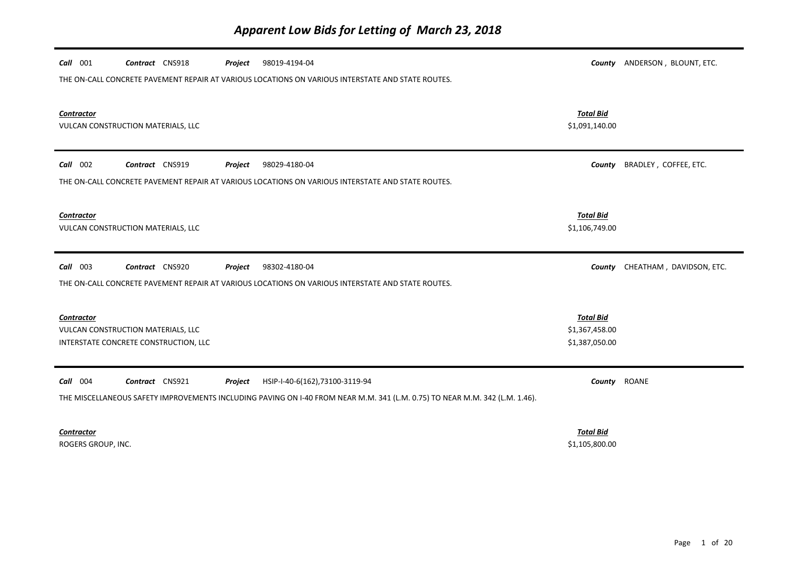| Call 001<br>Contract CNS918<br>98019-4194-04<br>Project                                                                     |                  | County ANDERSON, BLOUNT, ETC. |
|-----------------------------------------------------------------------------------------------------------------------------|------------------|-------------------------------|
| THE ON-CALL CONCRETE PAVEMENT REPAIR AT VARIOUS LOCATIONS ON VARIOUS INTERSTATE AND STATE ROUTES.                           |                  |                               |
|                                                                                                                             |                  |                               |
| Contractor                                                                                                                  | <b>Total Bid</b> |                               |
| VULCAN CONSTRUCTION MATERIALS, LLC                                                                                          | \$1,091,140.00   |                               |
| Call 002<br>Contract CNS919<br>98029-4180-04<br>Project                                                                     | County           | BRADLEY, COFFEE, ETC.         |
| THE ON-CALL CONCRETE PAVEMENT REPAIR AT VARIOUS LOCATIONS ON VARIOUS INTERSTATE AND STATE ROUTES.                           |                  |                               |
|                                                                                                                             |                  |                               |
| Contractor                                                                                                                  | <b>Total Bid</b> |                               |
| VULCAN CONSTRUCTION MATERIALS, LLC                                                                                          | \$1,106,749.00   |                               |
|                                                                                                                             |                  |                               |
|                                                                                                                             |                  |                               |
| $Call$ 003<br>Contract CNS920<br>Project<br>98302-4180-04                                                                   | County           | CHEATHAM, DAVIDSON, ETC.      |
| THE ON-CALL CONCRETE PAVEMENT REPAIR AT VARIOUS LOCATIONS ON VARIOUS INTERSTATE AND STATE ROUTES.                           |                  |                               |
|                                                                                                                             |                  |                               |
| Contractor                                                                                                                  | <b>Total Bid</b> |                               |
| VULCAN CONSTRUCTION MATERIALS, LLC                                                                                          | \$1,367,458.00   |                               |
| INTERSTATE CONCRETE CONSTRUCTION, LLC                                                                                       | \$1,387,050.00   |                               |
|                                                                                                                             |                  |                               |
| Call 004<br>Contract CNS921<br>HSIP-I-40-6(162),73100-3119-94<br>Project                                                    | County           | ROANE                         |
| THE MISCELLANEOUS SAFETY IMPROVEMENTS INCLUDING PAVING ON I-40 FROM NEAR M.M. 341 (L.M. 0.75) TO NEAR M.M. 342 (L.M. 1.46). |                  |                               |
| <b>Contractor</b>                                                                                                           | <b>Total Bid</b> |                               |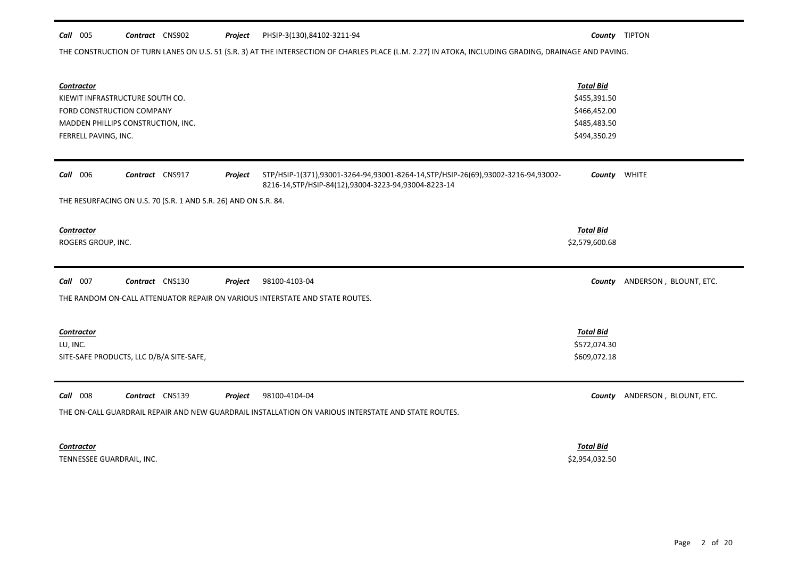#### *Call* 005 *Contract* CNS902 *Project County* TIPTON PHSIP-3(130),84102-3211-94

THE CONSTRUCTION OF TURN LANES ON U.S. 51 (S.R. 3) AT THE INTERSECTION OF CHARLES PLACE (L.M. 2.27) IN ATOKA, INCLUDING GRADING, DRAINAGE AND PAVING.

| <b>Contractor</b><br>KIEWIT INFRASTRUCTURE SOUTH CO.<br>FORD CONSTRUCTION COMPANY<br>MADDEN PHILLIPS CONSTRUCTION, INC.<br>FERRELL PAVING, INC.                                             | <b>Total Bid</b><br>\$455,391.50<br>\$466,452.00<br>\$485,483.50<br>\$494,350.29 |                               |
|---------------------------------------------------------------------------------------------------------------------------------------------------------------------------------------------|----------------------------------------------------------------------------------|-------------------------------|
| Contract CNS917<br>STP/HSIP-1(371),93001-3264-94,93001-8264-14,STP/HSIP-26(69),93002-3216-94,93002-<br><b>Call</b> 006<br>Project<br>8216-14, STP/HSIP-84(12), 93004-3223-94, 93004-8223-14 |                                                                                  | County WHITE                  |
| THE RESURFACING ON U.S. 70 (S.R. 1 AND S.R. 26) AND ON S.R. 84.                                                                                                                             |                                                                                  |                               |
| <b>Contractor</b><br>ROGERS GROUP, INC.                                                                                                                                                     | <b>Total Bid</b><br>\$2,579,600.68                                               |                               |
| <b>Call</b> 007<br>Contract CNS130<br>98100-4103-04<br>Project                                                                                                                              |                                                                                  | County ANDERSON, BLOUNT, ETC. |
| THE RANDOM ON-CALL ATTENUATOR REPAIR ON VARIOUS INTERSTATE AND STATE ROUTES.                                                                                                                |                                                                                  |                               |
| <b>Contractor</b><br>LU, INC.<br>SITE-SAFE PRODUCTS, LLC D/B/A SITE-SAFE,                                                                                                                   | <b>Total Bid</b><br>\$572,074.30<br>\$609,072.18                                 |                               |
| Call 008<br>Contract CNS139<br>98100-4104-04<br>Project                                                                                                                                     | County                                                                           | ANDERSON, BLOUNT, ETC.        |
| THE ON-CALL GUARDRAIL REPAIR AND NEW GUARDRAIL INSTALLATION ON VARIOUS INTERSTATE AND STATE ROUTES.                                                                                         |                                                                                  |                               |
| Contractor<br>TENNESSEE GUARDRAIL, INC.                                                                                                                                                     | <b>Total Bid</b><br>\$2,954,032.50                                               |                               |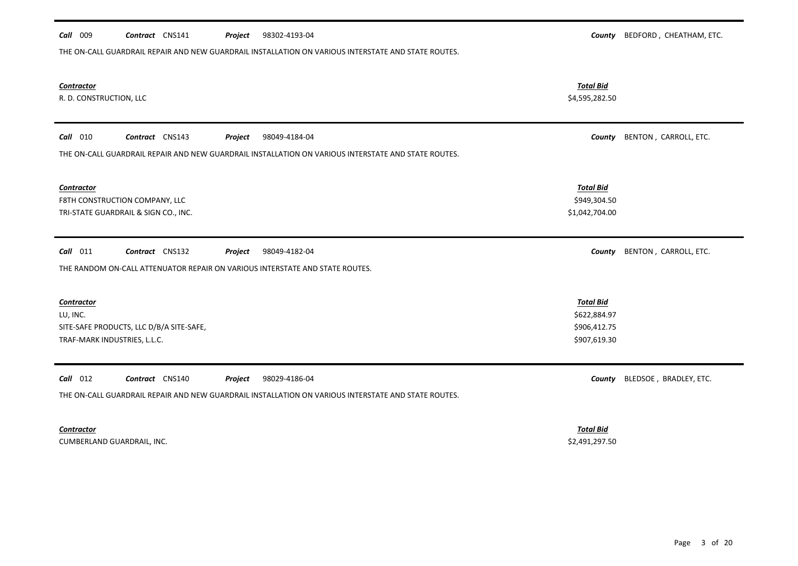| Call 009                                     | Contract CNS141                          | Project | 98302-4193-04                                                                                       | County                             | BEDFORD, CHEATHAM, ETC. |
|----------------------------------------------|------------------------------------------|---------|-----------------------------------------------------------------------------------------------------|------------------------------------|-------------------------|
|                                              |                                          |         | THE ON-CALL GUARDRAIL REPAIR AND NEW GUARDRAIL INSTALLATION ON VARIOUS INTERSTATE AND STATE ROUTES. |                                    |                         |
|                                              |                                          |         |                                                                                                     |                                    |                         |
| <b>Contractor</b><br>R. D. CONSTRUCTION, LLC |                                          |         |                                                                                                     | <b>Total Bid</b><br>\$4,595,282.50 |                         |
|                                              |                                          |         |                                                                                                     |                                    |                         |
| $Call$ 010                                   | Contract CNS143                          | Project | 98049-4184-04                                                                                       | County                             | BENTON, CARROLL, ETC.   |
|                                              |                                          |         | THE ON-CALL GUARDRAIL REPAIR AND NEW GUARDRAIL INSTALLATION ON VARIOUS INTERSTATE AND STATE ROUTES. |                                    |                         |
|                                              |                                          |         |                                                                                                     |                                    |                         |
| <b>Contractor</b>                            | F8TH CONSTRUCTION COMPANY, LLC           |         |                                                                                                     | <b>Total Bid</b><br>\$949,304.50   |                         |
|                                              | TRI-STATE GUARDRAIL & SIGN CO., INC.     |         |                                                                                                     | \$1,042,704.00                     |                         |
|                                              |                                          |         |                                                                                                     |                                    |                         |
|                                              |                                          |         |                                                                                                     |                                    |                         |
| $Call$ $011$                                 | Contract CNS132                          | Project | 98049-4182-04                                                                                       | County                             | BENTON, CARROLL, ETC.   |
|                                              |                                          |         | THE RANDOM ON-CALL ATTENUATOR REPAIR ON VARIOUS INTERSTATE AND STATE ROUTES.                        |                                    |                         |
|                                              |                                          |         |                                                                                                     |                                    |                         |
| Contractor                                   |                                          |         |                                                                                                     | <b>Total Bid</b>                   |                         |
| LU, INC.                                     | SITE-SAFE PRODUCTS, LLC D/B/A SITE-SAFE, |         |                                                                                                     | \$622,884.97<br>\$906,412.75       |                         |
| TRAF-MARK INDUSTRIES, L.L.C.                 |                                          |         |                                                                                                     | \$907,619.30                       |                         |
|                                              |                                          |         |                                                                                                     |                                    |                         |
| Call 012                                     | Contract CNS140                          | Project | 98029-4186-04                                                                                       | County                             | BLEDSOE, BRADLEY, ETC.  |
|                                              |                                          |         | THE ON-CALL GUARDRAIL REPAIR AND NEW GUARDRAIL INSTALLATION ON VARIOUS INTERSTATE AND STATE ROUTES. |                                    |                         |
| Contractor                                   |                                          |         |                                                                                                     | <b>Total Bid</b>                   |                         |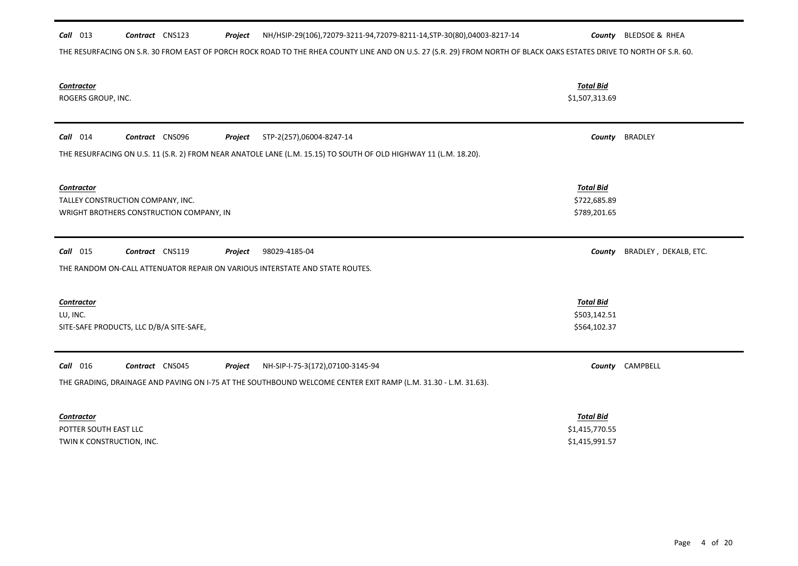## *Call* 013 *Contract* CNS123 *Project County* BLEDSOE & RHEA NH/HSIP-29(106),72079-3211-94,72079-8211-14,STP-30(80),04003-8217-14

THE RESURFACING ON S.R. 30 FROM EAST OF PORCH ROCK ROAD TO THE RHEA COUNTY LINE AND ON U.S. 27 (S.R. 29) FROM NORTH OF BLACK OAKS ESTATES DRIVE TO NORTH OF S.R. 60.

| <b>Contractor</b><br>ROGERS GROUP, INC.                                                                                                                                                      | <b>Total Bid</b><br>\$1,507,313.69                   |                       |
|----------------------------------------------------------------------------------------------------------------------------------------------------------------------------------------------|------------------------------------------------------|-----------------------|
| $Call$ 014<br>Contract CNS096<br>Project<br>STP-2(257),06004-8247-14                                                                                                                         | County                                               | <b>BRADLEY</b>        |
| THE RESURFACING ON U.S. 11 (S.R. 2) FROM NEAR ANATOLE LANE (L.M. 15.15) TO SOUTH OF OLD HIGHWAY 11 (L.M. 18.20).                                                                             |                                                      |                       |
| <b>Contractor</b><br>TALLEY CONSTRUCTION COMPANY, INC.<br>WRIGHT BROTHERS CONSTRUCTION COMPANY, IN                                                                                           | <b>Total Bid</b><br>\$722,685.89<br>\$789,201.65     |                       |
| <b>Call</b> 015<br>Contract CNS119<br>98029-4185-04<br>Project<br>THE RANDOM ON-CALL ATTENUATOR REPAIR ON VARIOUS INTERSTATE AND STATE ROUTES.                                               | County                                               | BRADLEY, DEKALB, ETC. |
| <b>Contractor</b><br>LU, INC.<br>SITE-SAFE PRODUCTS, LLC D/B/A SITE-SAFE,                                                                                                                    | <b>Total Bid</b><br>\$503,142.51<br>\$564,102.37     |                       |
| Call 016<br>Contract CNS045<br>NH-SIP-I-75-3(172),07100-3145-94<br>Project<br>THE GRADING, DRAINAGE AND PAVING ON I-75 AT THE SOUTHBOUND WELCOME CENTER EXIT RAMP (L.M. 31.30 - L.M. 31.63). |                                                      | County CAMPBELL       |
| Contractor<br>POTTER SOUTH EAST LLC<br>TWIN K CONSTRUCTION, INC.                                                                                                                             | <b>Total Bid</b><br>\$1,415,770.55<br>\$1,415,991.57 |                       |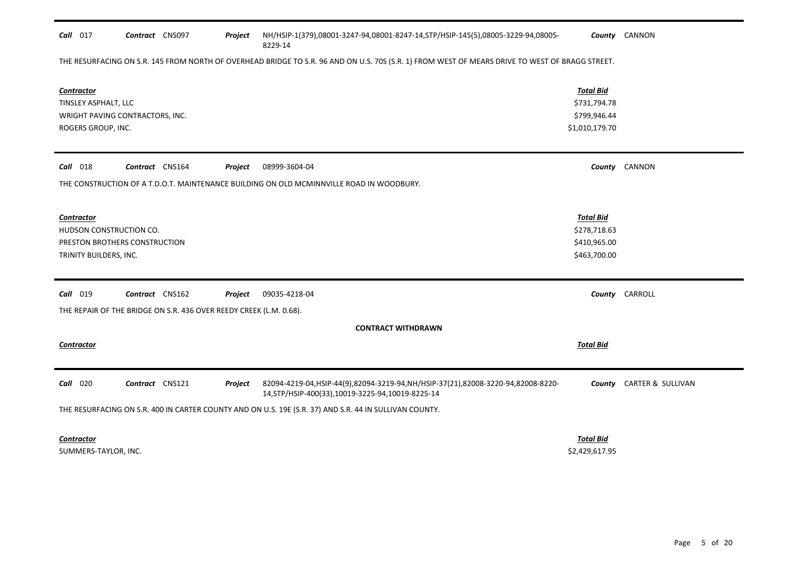| $Call$ 017                                                                                                                                      | Contract CNS097                                                    | Project | NH/HSIP-1(379),08001-3247-94,08001-8247-14,STP/HSIP-145(5),08005-3229-94,08005-<br>8229-14                                                 |                                                                    | County CANNON                       |  |  |
|-------------------------------------------------------------------------------------------------------------------------------------------------|--------------------------------------------------------------------|---------|--------------------------------------------------------------------------------------------------------------------------------------------|--------------------------------------------------------------------|-------------------------------------|--|--|
| THE RESURFACING ON S.R. 145 FROM NORTH OF OVERHEAD BRIDGE TO S.R. 96 AND ON U.S. 70S (S.R. 1) FROM WEST OF MEARS DRIVE TO WEST OF BRAGG STREET. |                                                                    |         |                                                                                                                                            |                                                                    |                                     |  |  |
| <b>Contractor</b><br>TINSLEY ASPHALT, LLC<br>ROGERS GROUP, INC.                                                                                 | WRIGHT PAVING CONTRACTORS, INC.                                    |         |                                                                                                                                            | <b>Total Bid</b><br>\$731,794.78<br>\$799,946.44<br>\$1,010,179.70 |                                     |  |  |
| Call 018                                                                                                                                        | Contract CNS164                                                    | Project | 08999-3604-04                                                                                                                              |                                                                    | County CANNON                       |  |  |
|                                                                                                                                                 |                                                                    |         | THE CONSTRUCTION OF A T.D.O.T. MAINTENANCE BUILDING ON OLD MCMINNVILLE ROAD IN WOODBURY.                                                   |                                                                    |                                     |  |  |
| <b>Contractor</b>                                                                                                                               |                                                                    |         |                                                                                                                                            | <b>Total Bid</b>                                                   |                                     |  |  |
| HUDSON CONSTRUCTION CO.                                                                                                                         |                                                                    |         |                                                                                                                                            | \$278,718.63                                                       |                                     |  |  |
|                                                                                                                                                 | PRESTON BROTHERS CONSTRUCTION                                      |         |                                                                                                                                            | \$410,965.00                                                       |                                     |  |  |
| TRINITY BUILDERS, INC.                                                                                                                          |                                                                    |         |                                                                                                                                            | \$463,700.00                                                       |                                     |  |  |
| <b>Call</b> 019                                                                                                                                 | Contract CNS162                                                    | Project | 09035-4218-04                                                                                                                              |                                                                    | County CARROLL                      |  |  |
|                                                                                                                                                 | THE REPAIR OF THE BRIDGE ON S.R. 436 OVER REEDY CREEK (L.M. 0.68). |         |                                                                                                                                            |                                                                    |                                     |  |  |
|                                                                                                                                                 |                                                                    |         | <b>CONTRACT WITHDRAWN</b>                                                                                                                  |                                                                    |                                     |  |  |
| <b>Contractor</b>                                                                                                                               |                                                                    |         |                                                                                                                                            | <b>Total Bid</b>                                                   |                                     |  |  |
| <b>Call</b> 020                                                                                                                                 | Contract CNS121                                                    | Project | 82094-4219-04, HSIP-44(9), 82094-3219-94, NH/HSIP-37(21), 82008-3220-94, 82008-8220-<br>14, STP/HSIP-400(33), 10019-3225-94, 10019-8225-14 |                                                                    | <b>County CARTER &amp; SULLIVAN</b> |  |  |
|                                                                                                                                                 |                                                                    |         | THE RESURFACING ON S.R. 400 IN CARTER COUNTY AND ON U.S. 19E (S.R. 37) AND S.R. 44 IN SULLIVAN COUNTY.                                     |                                                                    |                                     |  |  |
| <b>Contractor</b>                                                                                                                               |                                                                    |         |                                                                                                                                            | <b>Total Bid</b>                                                   |                                     |  |  |
| SUMMERS-TAYLOR, INC.                                                                                                                            |                                                                    |         |                                                                                                                                            | \$2,429,617.95                                                     |                                     |  |  |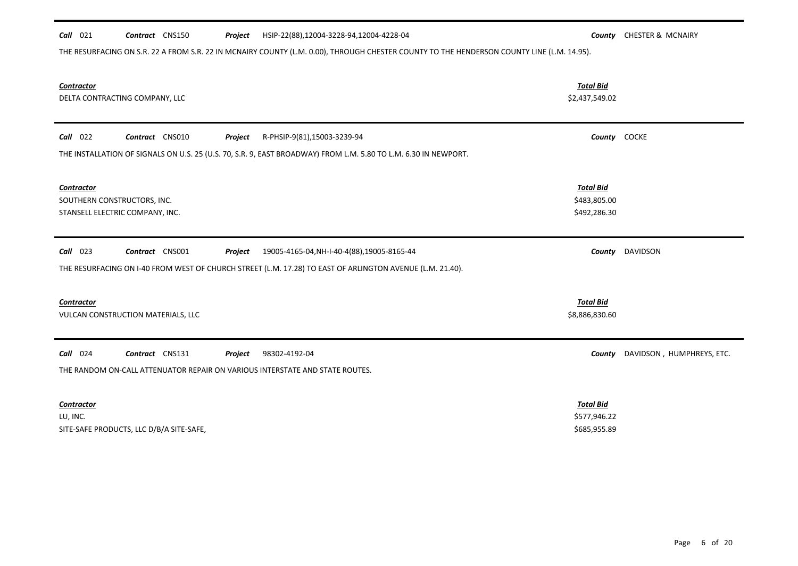# *Call* 021 *Contract* CNS150 *Project County* CHESTER & MCNAIRY HSIP-22(88),12004-3228-94,12004-4228-04 THE RESURFACING ON S.R. 22 A FROM S.R. 22 IN MCNAIRY COUNTY (L.M. 0.00), THROUGH CHESTER COUNTY TO THE HENDERSON COUNTY LINE (L.M. 14.95).

| <b>Contractor</b><br>DELTA CONTRACTING COMPANY, LLC                                                                                                                                                   | <b>Total Bid</b><br>\$2,437,549.02               |                                  |
|-------------------------------------------------------------------------------------------------------------------------------------------------------------------------------------------------------|--------------------------------------------------|----------------------------------|
| Contract CNS010<br>Call 022<br>Project<br>R-PHSIP-9(81),15003-3239-94<br>THE INSTALLATION OF SIGNALS ON U.S. 25 (U.S. 70, S.R. 9, EAST BROADWAY) FROM L.M. 5.80 TO L.M. 6.30 IN NEWPORT.              | County COCKE                                     |                                  |
| <b>Contractor</b><br>SOUTHERN CONSTRUCTORS, INC.<br>STANSELL ELECTRIC COMPANY, INC.                                                                                                                   | <b>Total Bid</b><br>\$483,805.00<br>\$492,286.30 |                                  |
| $Call$ 023<br>Contract CNS001<br>19005-4165-04, NH-I-40-4 (88), 19005-8165-44<br>Project<br>THE RESURFACING ON I-40 FROM WEST OF CHURCH STREET (L.M. 17.28) TO EAST OF ARLINGTON AVENUE (L.M. 21.40). |                                                  | <b>County</b> DAVIDSON           |
| Contractor<br>VULCAN CONSTRUCTION MATERIALS, LLC                                                                                                                                                      | <b>Total Bid</b><br>\$8,886,830.60               |                                  |
| Call 024<br>Contract CNS131<br>98302-4192-04<br>Project<br>THE RANDOM ON-CALL ATTENUATOR REPAIR ON VARIOUS INTERSTATE AND STATE ROUTES.                                                               |                                                  | County DAVIDSON, HUMPHREYS, ETC. |
| Contractor<br>LU, INC.<br>SITE-SAFE PRODUCTS, LLC D/B/A SITE-SAFE,                                                                                                                                    | <b>Total Bid</b><br>\$577,946.22<br>\$685,955.89 |                                  |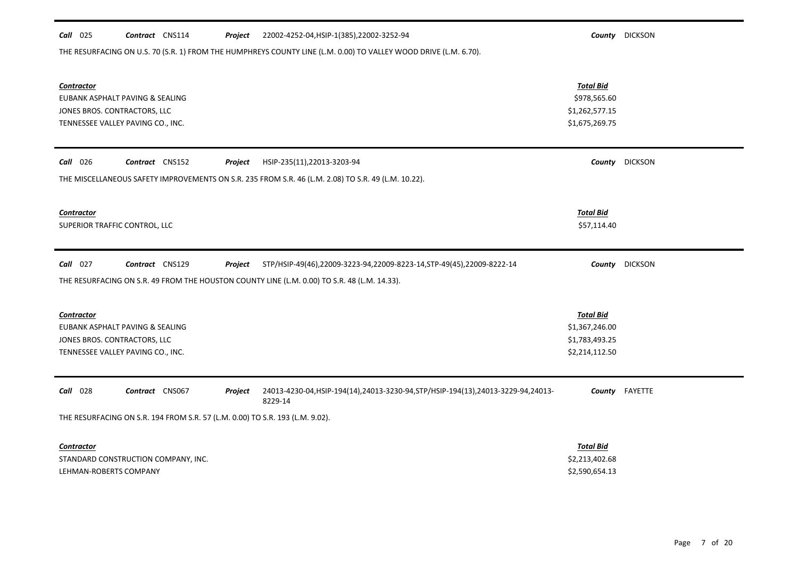| Call 025                                                                               | Contract CNS114                                                               | Project | 22002-4252-04, HSIP-1(385), 22002-3252-94                                                                        |                                                                        | County DICKSON |
|----------------------------------------------------------------------------------------|-------------------------------------------------------------------------------|---------|------------------------------------------------------------------------------------------------------------------|------------------------------------------------------------------------|----------------|
|                                                                                        |                                                                               |         | THE RESURFACING ON U.S. 70 (S.R. 1) FROM THE HUMPHREYS COUNTY LINE (L.M. 0.00) TO VALLEY WOOD DRIVE (L.M. 6.70). |                                                                        |                |
| <b>Contractor</b><br>JONES BROS. CONTRACTORS, LLC<br>TENNESSEE VALLEY PAVING CO., INC. | EUBANK ASPHALT PAVING & SEALING                                               |         |                                                                                                                  | <b>Total Bid</b><br>\$978,565.60<br>\$1,262,577.15<br>\$1,675,269.75   |                |
| $Call$ 026                                                                             | Contract CNS152                                                               | Project | HSIP-235(11),22013-3203-94                                                                                       |                                                                        | County DICKSON |
|                                                                                        |                                                                               |         | THE MISCELLANEOUS SAFETY IMPROVEMENTS ON S.R. 235 FROM S.R. 46 (L.M. 2.08) TO S.R. 49 (L.M. 10.22).              |                                                                        |                |
| <b>Contractor</b><br>SUPERIOR TRAFFIC CONTROL, LLC                                     |                                                                               |         |                                                                                                                  | <b>Total Bid</b><br>\$57,114.40                                        |                |
| $Call$ 027                                                                             | Contract CNS129                                                               | Project | STP/HSIP-49(46),22009-3223-94,22009-8223-14, STP-49(45), 22009-8222-14                                           |                                                                        | County DICKSON |
|                                                                                        |                                                                               |         | THE RESURFACING ON S.R. 49 FROM THE HOUSTON COUNTY LINE (L.M. 0.00) TO S.R. 48 (L.M. 14.33).                     |                                                                        |                |
| <b>Contractor</b><br>JONES BROS. CONTRACTORS, LLC<br>TENNESSEE VALLEY PAVING CO., INC. | EUBANK ASPHALT PAVING & SEALING                                               |         |                                                                                                                  | <b>Total Bid</b><br>\$1,367,246.00<br>\$1,783,493.25<br>\$2,214,112.50 |                |
| Call 028                                                                               | Contract CNS067                                                               | Project | 24013-4230-04, HSIP-194(14), 24013-3230-94, STP/HSIP-194(13), 24013-3229-94, 24013-<br>8229-14                   |                                                                        | County FAYETTE |
|                                                                                        | THE RESURFACING ON S.R. 194 FROM S.R. 57 (L.M. 0.00) TO S.R. 193 (L.M. 9.02). |         |                                                                                                                  |                                                                        |                |
| <b>Contractor</b><br>LEHMAN-ROBERTS COMPANY                                            | STANDARD CONSTRUCTION COMPANY, INC.                                           |         |                                                                                                                  | <b>Total Bid</b><br>\$2,213,402.68<br>\$2,590,654.13                   |                |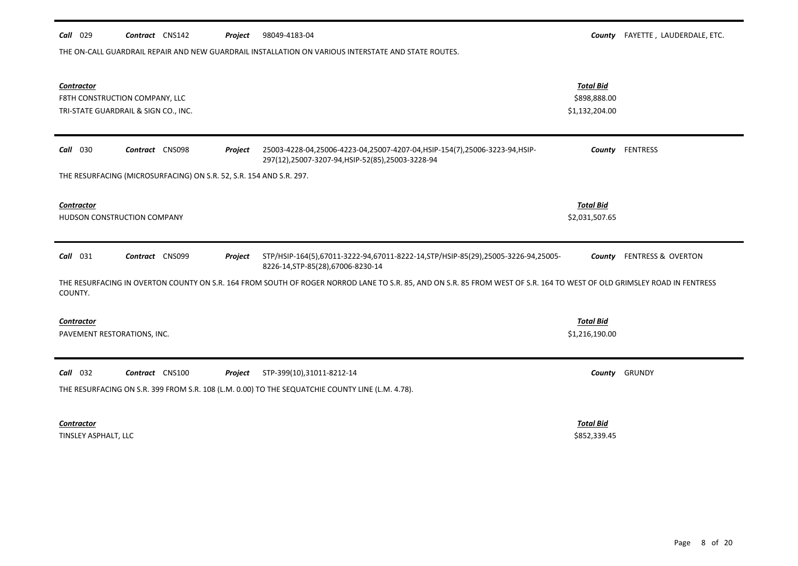| Contractor<br>F8TH CONSTRUCTION COMPANY, LLC | TRI-STATE GUARDRAIL & SIGN CO., INC.                                |         |                                                                                                                                                                         | <b>Total Bid</b><br>\$898,888.00<br>\$1,132,204.00 |                               |
|----------------------------------------------|---------------------------------------------------------------------|---------|-------------------------------------------------------------------------------------------------------------------------------------------------------------------------|----------------------------------------------------|-------------------------------|
| Call<br>030                                  | Contract CNS098                                                     | Project | 25003-4228-04,25006-4223-04,25007-4207-04,HSIP-154(7),25006-3223-94,HSIP-<br>297(12),25007-3207-94,HSIP-52(85),25003-3228-94                                            | County                                             | <b>FENTRESS</b>               |
|                                              | THE RESURFACING (MICROSURFACING) ON S.R. 52, S.R. 154 AND S.R. 297. |         |                                                                                                                                                                         |                                                    |                               |
| Contractor<br>HUDSON CONSTRUCTION COMPANY    |                                                                     |         |                                                                                                                                                                         | <b>Total Bid</b><br>\$2,031,507.65                 |                               |
| $Call$ 031                                   | Contract CNS099                                                     | Project | STP/HSIP-164(5),67011-3222-94,67011-8222-14,STP/HSIP-85(29),25005-3226-94,25005-<br>8226-14, STP-85(28), 67006-8230-14                                                  | County                                             | <b>FENTRESS &amp; OVERTON</b> |
| COUNTY.                                      |                                                                     |         | THE RESURFACING IN OVERTON COUNTY ON S.R. 164 FROM SOUTH OF ROGER NORROD LANE TO S.R. 85, AND ON S.R. 85 FROM WEST OF S.R. 164 TO WEST OF OLD GRIMSLEY ROAD IN FENTRESS |                                                    |                               |
| Contractor<br>PAVEMENT RESTORATIONS, INC.    |                                                                     |         |                                                                                                                                                                         | <b>Total Bid</b><br>\$1,216,190.00                 |                               |
| $Call$ 032                                   | Contract CNS100                                                     | Project | STP-399(10),31011-8212-14                                                                                                                                               |                                                    | County GRUNDY                 |
|                                              |                                                                     |         | THE RESURFACING ON S.R. 399 FROM S.R. 108 (L.M. 0.00) TO THE SEQUATCHIE COUNTY LINE (L.M. 4.78).                                                                        |                                                    |                               |
|                                              |                                                                     |         |                                                                                                                                                                         |                                                    |                               |
| Contractor<br>TINSLEY ASPHALT, LLC           |                                                                     |         |                                                                                                                                                                         | <b>Total Bid</b><br>\$852,339.45                   |                               |

**Call** 029 **Contract** CNS142 **Project** 98049-4183-04 **County County FAYETTE**, LAUDERDALE, ETC. Project 98049-4183-04

THE ON-CALL GUARDRAIL REPAIR AND NEW GUARDRAIL INSTALLATION ON VARIOUS INTERSTATE AND STATE ROUTES.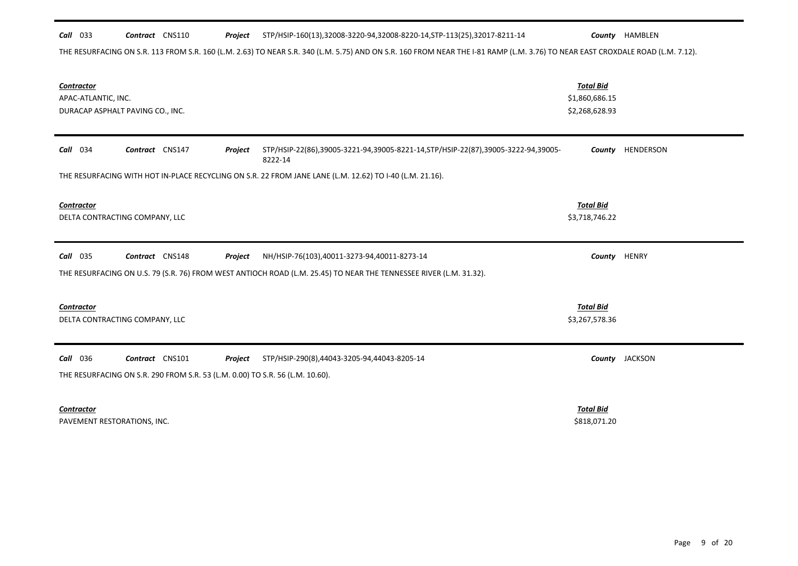# *Call* 033 *Contract* CNS110 *Project County* HAMBLEN STP/HSIP-160(13),32008-3220-94,32008-8220-14,STP-113(25),32017-8211-14

THE RESURFACING ON S.R. 113 FROM S.R. 160 (L.M. 2.63) TO NEAR S.R. 340 (L.M. 5.75) AND ON S.R. 160 FROM NEAR THE I-81 RAMP (L.M. 3.76) TO NEAR EAST CROXDALE ROAD (L.M. 7.12).

| <b>Contractor</b><br>APAC-ATLANTIC, INC.<br>DURACAP ASPHALT PAVING CO., INC.                                                                                                                                       | <b>Total Bid</b><br>\$1,860,686.15<br>\$2,268,628.93 |                |
|--------------------------------------------------------------------------------------------------------------------------------------------------------------------------------------------------------------------|------------------------------------------------------|----------------|
| Contract CNS147<br>$Call$ 034<br>STP/HSIP-22(86),39005-3221-94,39005-8221-14,STP/HSIP-22(87),39005-3222-94,39005-<br>Project<br>8222-14                                                                            | County                                               | HENDERSON      |
| THE RESURFACING WITH HOT IN-PLACE RECYCLING ON S.R. 22 FROM JANE LANE (L.M. 12.62) TO I-40 (L.M. 21.16).                                                                                                           |                                                      |                |
| <b>Contractor</b><br>DELTA CONTRACTING COMPANY, LLC                                                                                                                                                                | <b>Total Bid</b><br>\$3,718,746.22                   |                |
| <b>Call</b> 035<br>Contract CNS148<br>NH/HSIP-76(103),40011-3273-94,40011-8273-14<br>Project<br>THE RESURFACING ON U.S. 79 (S.R. 76) FROM WEST ANTIOCH ROAD (L.M. 25.45) TO NEAR THE TENNESSEE RIVER (L.M. 31.32). | County                                               | <b>HENRY</b>   |
| <b>Contractor</b><br>DELTA CONTRACTING COMPANY, LLC                                                                                                                                                                | <b>Total Bid</b><br>\$3,267,578.36                   |                |
| Contract CNS101<br><b>Call</b> 036<br>STP/HSIP-290(8),44043-3205-94,44043-8205-14<br>Project                                                                                                                       |                                                      | County JACKSON |
| THE RESURFACING ON S.R. 290 FROM S.R. 53 (L.M. 0.00) TO S.R. 56 (L.M. 10.60).                                                                                                                                      |                                                      |                |
| <b>Contractor</b><br>PAVEMENT RESTORATIONS, INC.                                                                                                                                                                   | <b>Total Bid</b><br>\$818,071.20                     |                |

 $\blacksquare$ 

 $\overline{\phantom{0}}$ 

 $\blacksquare$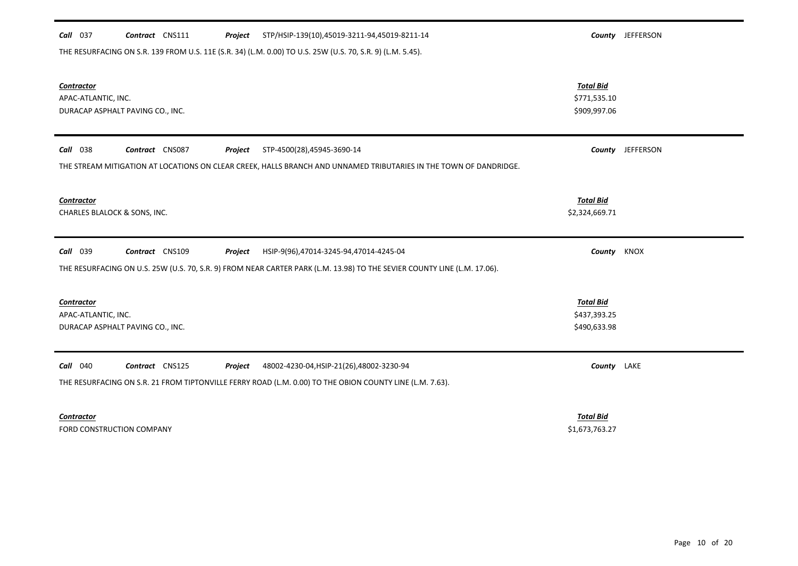## *Call* 037 *Contract* CNS111 *Project County* JEFFERSON STP/HSIP-139(10),45019-3211-94,45019-8211-14

THE RESURFACING ON S.R. 139 FROM U.S. 11E (S.R. 34) (L.M. 0.00) TO U.S. 25W (U.S. 70, S.R. 9) (L.M. 5.45).

*Contractor Total Bid* APAC-ATLANTIC, INC. \$771,535.10 DURACAP ASPHALT PAVING CO., INC. \$909,997.06 *Call* 038 *Contract* CNS087 *Project County* JEFFERSON STP-4500(28),45945-3690-14 THE STREAM MITIGATION AT LOCATIONS ON CLEAR CREEK, HALLS BRANCH AND UNNAMED TRIBUTARIES IN THE TOWN OF DANDRIDGE. *Contractor Total Bid* CHARLES BLALOCK & SONS, INC. Sand States and States and States and States and States and States and States and States and States and States and States and States and States and States and States and States and States and S *Call* 039 *Contract* CNS109 *Project County* KNOX HSIP-9(96),47014-3245-94,47014-4245-04 THE RESURFACING ON U.S. 25W (U.S. 70, S.R. 9) FROM NEAR CARTER PARK (L.M. 13.98) TO THE SEVIER COUNTY LINE (L.M. 17.06). *Contractor Total Bid* APAC-ATLANTIC, INC. \$437,393.25 DURACAP ASPHALT PAVING CO., INC. \$490,633.98 *Call* 040 *Contract* CNS125 *Project County* LAKE 48002-4230-04,HSIP-21(26),48002-3230-94 THE RESURFACING ON S.R. 21 FROM TIPTONVILLE FERRY ROAD (L.M. 0.00) TO THE OBION COUNTY LINE (L.M. 7.63). *Contractor Total Bid* FORD CONSTRUCTION COMPANY \$1,673,763.27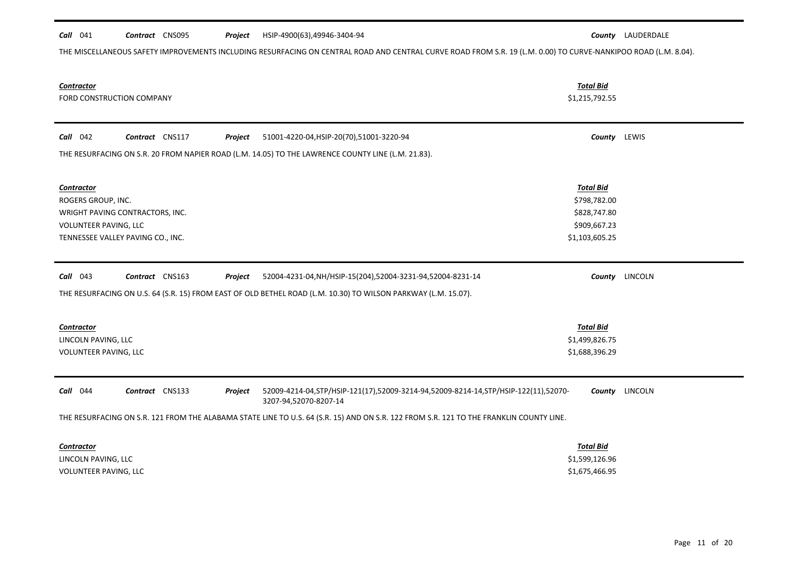|                                                                                                                                                | THE MISCELLANEOUS SAFETY IMPROVEMENTS INCLUDING RESURFACING ON CENTRAL ROAD AND CENTRAL CURVE ROAD FROM S.R. 19 (L.M. 0.00) TO CURVE-NANKIPOO ROAD (L.M. 8.04).                                                                                             |                |
|------------------------------------------------------------------------------------------------------------------------------------------------|-------------------------------------------------------------------------------------------------------------------------------------------------------------------------------------------------------------------------------------------------------------|----------------|
| <b>Contractor</b><br>FORD CONSTRUCTION COMPANY                                                                                                 | <b>Total Bid</b><br>\$1,215,792.55                                                                                                                                                                                                                          |                |
| $Call$ 042<br>Contract CNS117<br>Project<br>THE RESURFACING ON S.R. 20 FROM NAPIER ROAD (L.M. 14.05) TO THE LAWRENCE COUNTY LINE (L.M. 21.83). | County LEWIS<br>51001-4220-04, HSIP-20(70), 51001-3220-94                                                                                                                                                                                                   |                |
| <b>Contractor</b><br>ROGERS GROUP, INC.<br>WRIGHT PAVING CONTRACTORS, INC.<br>VOLUNTEER PAVING, LLC<br>TENNESSEE VALLEY PAVING CO., INC.       | <b>Total Bid</b><br>\$798,782.00<br>\$828,747.80<br>\$909,667.23<br>\$1,103,605.25                                                                                                                                                                          |                |
| Contract CNS163<br>$Call$ 043<br>Project                                                                                                       | 52004-4231-04, NH/HSIP-15(204), 52004-3231-94, 52004-8231-14<br>THE RESURFACING ON U.S. 64 (S.R. 15) FROM EAST OF OLD BETHEL ROAD (L.M. 10.30) TO WILSON PARKWAY (L.M. 15.07).                                                                              | County LINCOLN |
| <b>Contractor</b><br>LINCOLN PAVING, LLC<br>VOLUNTEER PAVING, LLC                                                                              | <b>Total Bid</b><br>\$1,499,826.75<br>\$1,688,396.29                                                                                                                                                                                                        |                |
| Contract CNS133<br>Call 044<br>Project                                                                                                         | 52009-4214-04, STP/HSIP-121(17), 52009-3214-94, 52009-8214-14, STP/HSIP-122(11), 52070-<br>3207-94,52070-8207-14<br>THE RESURFACING ON S.R. 121 FROM THE ALABAMA STATE LINE TO U.S. 64 (S.R. 15) AND ON S.R. 122 FROM S.R. 121 TO THE FRANKLIN COUNTY LINE. | County LINCOLN |
| <b>Contractor</b><br>LINCOLN PAVING, LLC<br>VOLUNTEER PAVING, LLC                                                                              | <b>Total Bid</b><br>\$1,599,126.96<br>\$1,675,466.95                                                                                                                                                                                                        |                |

*Call* 041 *Contract* CNS095 *Project County* LAUDERDALE HSIP-4900(63),49946-3404-94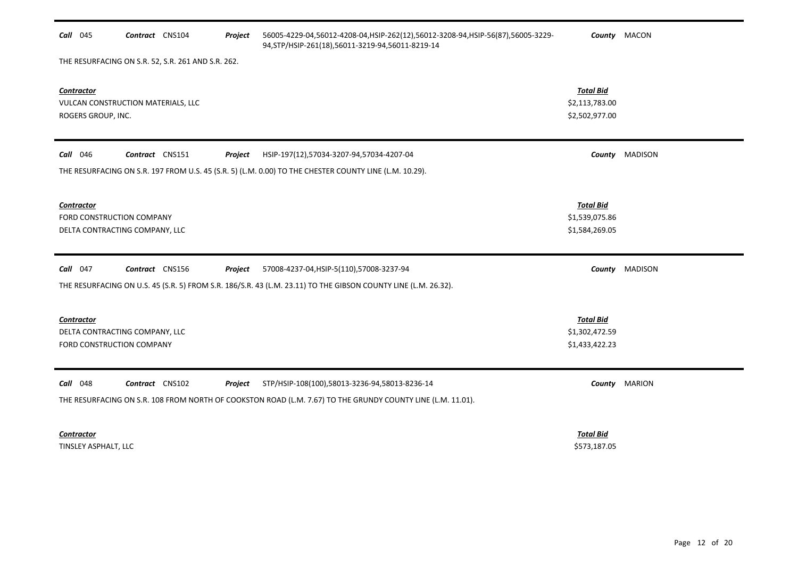| <b>Call</b> 045                                | Contract CNS104                                    | Project | 56005-4229-04,56012-4208-04,HSIP-262(12),56012-3208-94,HSIP-56(87),56005-3229-<br>94, STP/HSIP-261(18), 56011-3219-94, 56011-8219-14 |                                                      | County MACON          |
|------------------------------------------------|----------------------------------------------------|---------|--------------------------------------------------------------------------------------------------------------------------------------|------------------------------------------------------|-----------------------|
|                                                | THE RESURFACING ON S.R. 52, S.R. 261 AND S.R. 262. |         |                                                                                                                                      |                                                      |                       |
| Contractor<br>ROGERS GROUP, INC.               | VULCAN CONSTRUCTION MATERIALS, LLC                 |         |                                                                                                                                      | <b>Total Bid</b><br>\$2,113,783.00<br>\$2,502,977.00 |                       |
| <b>Call</b> 046                                | Contract CNS151                                    | Project | HSIP-197(12),57034-3207-94,57034-4207-04                                                                                             |                                                      | <b>County</b> MADISON |
|                                                |                                                    |         | THE RESURFACING ON S.R. 197 FROM U.S. 45 (S.R. 5) (L.M. 0.00) TO THE CHESTER COUNTY LINE (L.M. 10.29).                               |                                                      |                       |
| <b>Contractor</b><br>FORD CONSTRUCTION COMPANY | DELTA CONTRACTING COMPANY, LLC                     |         |                                                                                                                                      | <b>Total Bid</b><br>\$1,539,075.86<br>\$1,584,269.05 |                       |
| $Call$ 047                                     | Contract CNS156                                    | Project | 57008-4237-04, HSIP-5(110), 57008-3237-94                                                                                            |                                                      | <b>County</b> MADISON |
|                                                |                                                    |         | THE RESURFACING ON U.S. 45 (S.R. 5) FROM S.R. 186/S.R. 43 (L.M. 23.11) TO THE GIBSON COUNTY LINE (L.M. 26.32).                       |                                                      |                       |
| <b>Contractor</b><br>FORD CONSTRUCTION COMPANY | DELTA CONTRACTING COMPANY, LLC                     |         |                                                                                                                                      | <b>Total Bid</b><br>\$1,302,472.59<br>\$1,433,422.23 |                       |
| <b>Call</b> 048                                | Contract CNS102                                    | Project | STP/HSIP-108(100),58013-3236-94,58013-8236-14                                                                                        |                                                      | County MARION         |
|                                                |                                                    |         | THE RESURFACING ON S.R. 108 FROM NORTH OF COOKSTON ROAD (L.M. 7.67) TO THE GRUNDY COUNTY LINE (L.M. 11.01).                          |                                                      |                       |
| <b>Contractor</b><br>TINSLEY ASPHALT, LLC      |                                                    |         |                                                                                                                                      | <b>Total Bid</b><br>\$573,187.05                     |                       |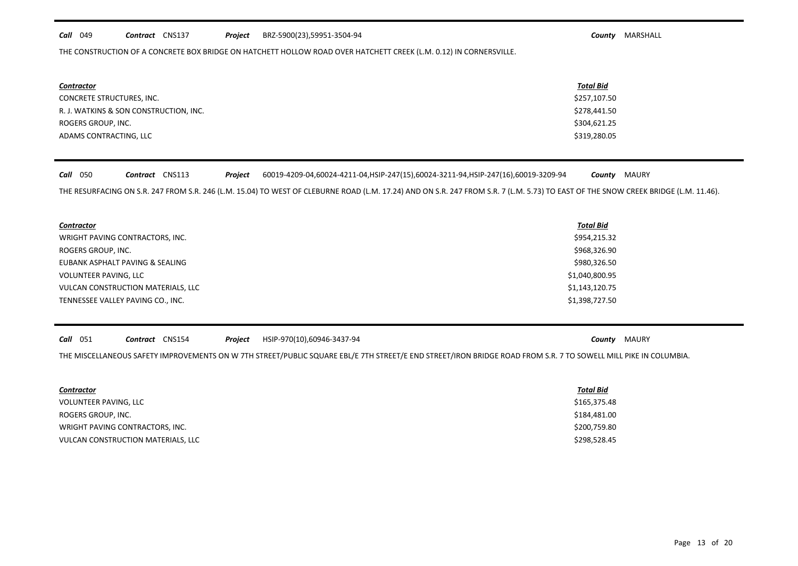### *Call* 049 *Contract* CNS137 *Project County* MARSHALL BRZ-5900(23),59951-3504-94

THE CONSTRUCTION OF A CONCRETE BOX BRIDGE ON HATCHETT HOLLOW ROAD OVER HATCHETT CREEK (L.M. 0.12) IN CORNERSVILLE.

| Contractor                             | Total Bid    |
|----------------------------------------|--------------|
| CONCRETE STRUCTURES, INC.              | \$257,107.50 |
| R. J. WATKINS & SON CONSTRUCTION, INC. | \$278,441.50 |
| ROGERS GROUP, INC.                     | \$304,621.25 |
| ADAMS CONTRACTING, LLC                 | \$319,280.05 |

## *Call* 050 *Contract* CNS113 *Project County* MAURY 60019-4209-04,60024-4211-04,HSIP-247(15),60024-3211-94,HSIP-247(16),60019-3209-94

THE RESURFACING ON S.R. 247 FROM S.R. 246 (L.M. 15.04) TO WEST OF CLEBURNE ROAD (L.M. 17.24) AND ON S.R. 247 FROM S.R. 7 (L.M. 5.73) TO EAST OF THE SNOW CREEK BRIDGE (L.M. 11.46).

| <b>Contractor</b>                  | <b>Total Bid</b> |
|------------------------------------|------------------|
| WRIGHT PAVING CONTRACTORS, INC.    | \$954,215.32     |
| ROGERS GROUP, INC.                 | \$968,326.90     |
| EUBANK ASPHALT PAVING & SEALING    | \$980,326.50     |
| <b>VOLUNTEER PAVING, LLC</b>       | \$1,040,800.95   |
| VULCAN CONSTRUCTION MATERIALS, LLC | \$1,143,120.75   |
| TENNESSEE VALLEY PAVING CO., INC.  | \$1,398,727.50   |

*Call* 051 *Contract* CNS154 *Project County* MAURY HSIP-970(10),60946-3437-94

THE MISCELLANEOUS SAFETY IMPROVEMENTS ON W 7TH STREET/PUBLIC SQUARE EBL/E 7TH STREET/E END STREET/IRON BRIDGE ROAD FROM S.R. 7 TO SOWELL MILL PIKE IN COLUMBIA.

| <b>Contractor</b>                  | Total Bid    |
|------------------------------------|--------------|
| VOLUNTEER PAVING, LLC              | \$165,375.48 |
| ROGERS GROUP, INC.                 | \$184,481.00 |
| WRIGHT PAVING CONTRACTORS, INC.    | \$200,759.80 |
| VULCAN CONSTRUCTION MATERIALS, LLC | \$298,528.45 |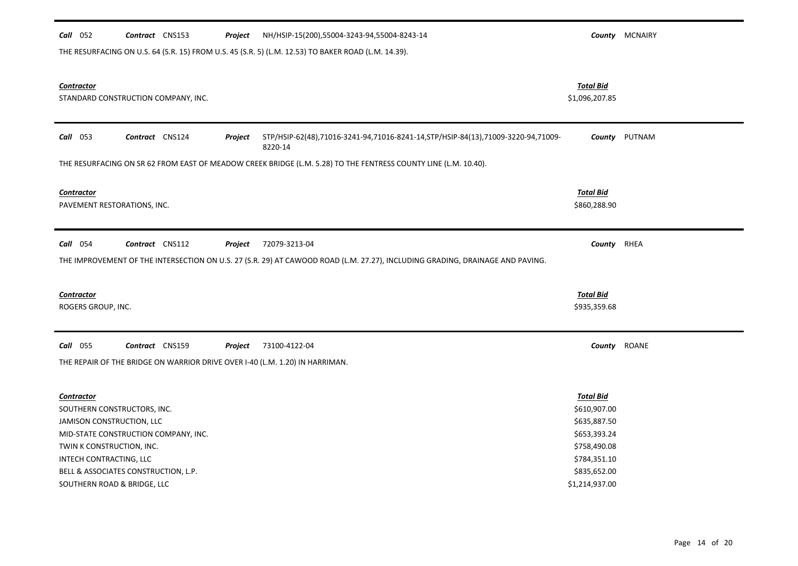| Call 052                                         | Contract CNS153                                                              | Project | NH/HSIP-15(200),55004-3243-94,55004-8243-14                                                                                   |                                    | <b>County MCNAIRY</b> |
|--------------------------------------------------|------------------------------------------------------------------------------|---------|-------------------------------------------------------------------------------------------------------------------------------|------------------------------------|-----------------------|
|                                                  |                                                                              |         | THE RESURFACING ON U.S. 64 (S.R. 15) FROM U.S. 45 (S.R. 5) (L.M. 12.53) TO BAKER ROAD (L.M. 14.39).                           |                                    |                       |
| <b>Contractor</b>                                | STANDARD CONSTRUCTION COMPANY, INC.                                          |         |                                                                                                                               | <b>Total Bid</b><br>\$1,096,207.85 |                       |
| Call 053                                         | Contract CNS124                                                              | Project | STP/HSIP-62(48),71016-3241-94,71016-8241-14,STP/HSIP-84(13),71009-3220-94,71009-<br>8220-14                                   |                                    | County PUTNAM         |
|                                                  |                                                                              |         | THE RESURFACING ON SR 62 FROM EAST OF MEADOW CREEK BRIDGE (L.M. 5.28) TO THE FENTRESS COUNTY LINE (L.M. 10.40).               |                                    |                       |
| <b>Contractor</b><br>PAVEMENT RESTORATIONS, INC. |                                                                              |         |                                                                                                                               | <b>Total Bid</b><br>\$860,288.90   |                       |
| Call 054                                         | Contract CNS112                                                              | Project | 72079-3213-04                                                                                                                 | County RHEA                        |                       |
|                                                  |                                                                              |         | THE IMPROVEMENT OF THE INTERSECTION ON U.S. 27 (S.R. 29) AT CAWOOD ROAD (L.M. 27.27), INCLUDING GRADING, DRAINAGE AND PAVING. |                                    |                       |
| <b>Contractor</b><br>ROGERS GROUP, INC.          |                                                                              |         |                                                                                                                               | <b>Total Bid</b><br>\$935,359.68   |                       |
| <b>Call</b> 055                                  | Contract CNS159                                                              | Project | 73100-4122-04                                                                                                                 |                                    | County ROANE          |
|                                                  | THE REPAIR OF THE BRIDGE ON WARRIOR DRIVE OVER I-40 (L.M. 1.20) IN HARRIMAN. |         |                                                                                                                               |                                    |                       |
| <b>Contractor</b>                                |                                                                              |         |                                                                                                                               | Total Bid                          |                       |
| SOUTHERN CONSTRUCTORS, INC.                      |                                                                              |         |                                                                                                                               | \$610,907.00                       |                       |
| JAMISON CONSTRUCTION, LLC                        |                                                                              |         |                                                                                                                               | \$635,887.50                       |                       |
|                                                  | MID-STATE CONSTRUCTION COMPANY, INC.                                         |         |                                                                                                                               | \$653,393.24                       |                       |
| TWIN K CONSTRUCTION, INC.                        |                                                                              |         |                                                                                                                               | \$758,490.08                       |                       |
| INTECH CONTRACTING, LLC                          |                                                                              |         |                                                                                                                               | \$784,351.10                       |                       |
|                                                  | BELL & ASSOCIATES CONSTRUCTION, L.P.                                         |         |                                                                                                                               | \$835,652.00                       |                       |
| SOUTHERN ROAD & BRIDGE, LLC                      |                                                                              |         |                                                                                                                               | \$1,214,937.00                     |                       |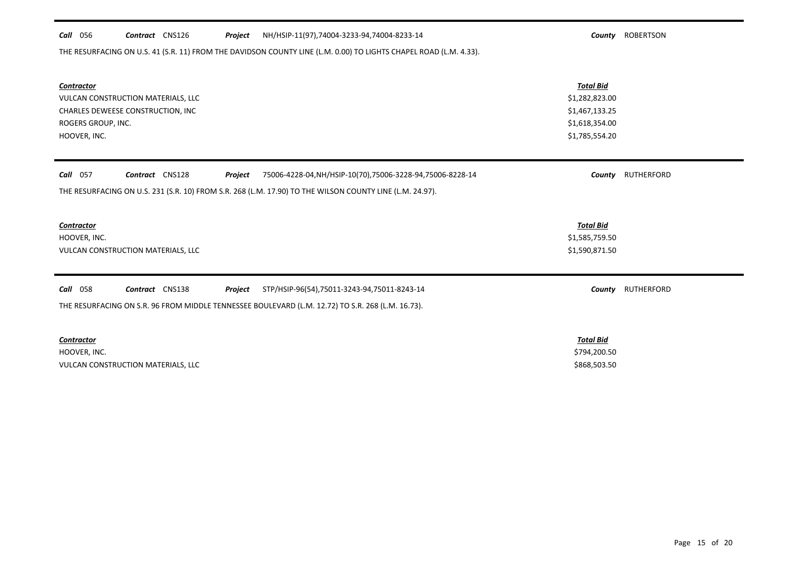| 056<br>Call<br>Contract CNS126     | NH/HSIP-11(97),74004-3233-94,74004-8233-14<br>Project                                                             | County ROBERTSON     |
|------------------------------------|-------------------------------------------------------------------------------------------------------------------|----------------------|
|                                    | THE RESURFACING ON U.S. 41 (S.R. 11) FROM THE DAVIDSON COUNTY LINE (L.M. 0.00) TO LIGHTS CHAPEL ROAD (L.M. 4.33). |                      |
| <b>Contractor</b>                  |                                                                                                                   | <b>Total Bid</b>     |
| VULCAN CONSTRUCTION MATERIALS, LLC |                                                                                                                   | \$1,282,823.00       |
| CHARLES DEWEESE CONSTRUCTION, INC  |                                                                                                                   | \$1,467,133.25       |
| ROGERS GROUP, INC.                 |                                                                                                                   | \$1,618,354.00       |
| HOOVER, INC.                       |                                                                                                                   | \$1,785,554.20       |
|                                    |                                                                                                                   |                      |
|                                    |                                                                                                                   |                      |
| <b>Call</b> 057<br>Contract CNS128 | Project<br>75006-4228-04, NH/HSIP-10(70), 75006-3228-94, 75006-8228-14                                            | RUTHERFORD<br>County |
|                                    | THE RESURFACING ON U.S. 231 (S.R. 10) FROM S.R. 268 (L.M. 17.90) TO THE WILSON COUNTY LINE (L.M. 24.97).          |                      |
|                                    |                                                                                                                   |                      |
| <b>Contractor</b>                  |                                                                                                                   | <b>Total Bid</b>     |
| HOOVER, INC.                       |                                                                                                                   | \$1,585,759.50       |
| VULCAN CONSTRUCTION MATERIALS, LLC |                                                                                                                   | \$1,590,871.50       |
|                                    |                                                                                                                   |                      |
|                                    |                                                                                                                   |                      |

THE RESURFACING ON S.R. 96 FROM MIDDLE TENNESSEE BOULEVARD (L.M. 12.72) TO S.R. 268 (L.M. 16.73).

| <b>Contractor</b>                  | <b>Total Bid</b> |
|------------------------------------|------------------|
| HOOVER. INC.                       | \$794,200.50     |
| VULCAN CONSTRUCTION MATERIALS, LLC | \$868,503.50     |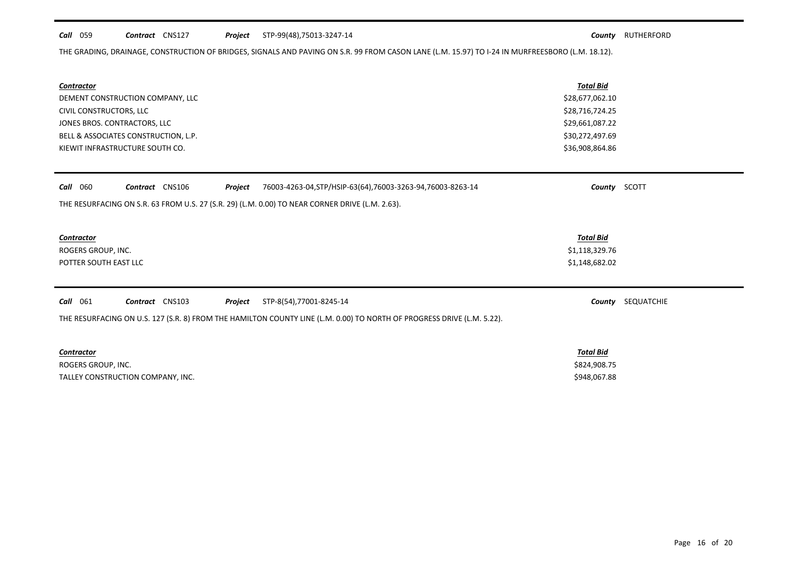## *Call* 059 *Contract* CNS127 *Project County* RUTHERFORD STP-99(48),75013-3247-14

THE GRADING, DRAINAGE, CONSTRUCTION OF BRIDGES, SIGNALS AND PAVING ON S.R. 99 FROM CASON LANE (L.M. 15.97) TO I-24 IN MURFREESBORO (L.M. 18.12).

| Contractor                                                                                                                                                                                                   | <b>Total Bid</b>         |
|--------------------------------------------------------------------------------------------------------------------------------------------------------------------------------------------------------------|--------------------------|
| DEMENT CONSTRUCTION COMPANY, LLC                                                                                                                                                                             | \$28,677,062.10          |
| CIVIL CONSTRUCTORS, LLC                                                                                                                                                                                      | \$28,716,724.25          |
| JONES BROS. CONTRACTORS, LLC                                                                                                                                                                                 | \$29,661,087.22          |
| BELL & ASSOCIATES CONSTRUCTION, L.P.                                                                                                                                                                         | \$30,272,497.69          |
| KIEWIT INFRASTRUCTURE SOUTH CO.                                                                                                                                                                              | \$36,908,864.86          |
| 060<br>Contract CNS106<br>Call<br>Project<br>76003-4263-04, STP/HSIP-63(64), 76003-3263-94, 76003-8263-14<br>THE RESURFACING ON S.R. 63 FROM U.S. 27 (S.R. 29) (L.M. 0.00) TO NEAR CORNER DRIVE (L.M. 2.63). | County SCOTT             |
| Contractor                                                                                                                                                                                                   | <b>Total Bid</b>         |
| ROGERS GROUP, INC.                                                                                                                                                                                           | \$1,118,329.76           |
| POTTER SOUTH EAST LLC                                                                                                                                                                                        | \$1,148,682.02           |
| $Call$ 061<br>Contract CNS103<br>Project<br>STP-8(54),77001-8245-14<br>THE RESURFACING ON U.S. 127 (S.R. 8) FROM THE HAMILTON COUNTY LINE (L.M. 0.00) TO NORTH OF PROGRESS DRIVE (L.M. 5.22).                | <b>County</b> SEQUATCHIE |
| <b>Contractor</b>                                                                                                                                                                                            | <b>Total Bid</b>         |
| ROGERS GROUP, INC.                                                                                                                                                                                           | \$824,908.75             |
| TALLEY CONSTRUCTION COMPANY, INC.                                                                                                                                                                            | \$948,067.88             |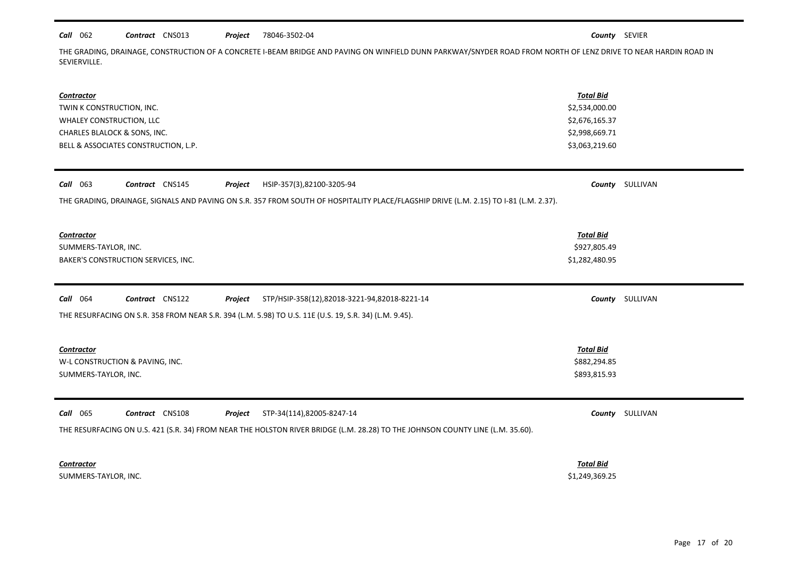## *Call* 062 *Contract* CNS013 *Project County* SEVIER 78046-3502-04

THE GRADING, DRAINAGE, CONSTRUCTION OF A CONCRETE I-BEAM BRIDGE AND PAVING ON WINFIELD DUNN PARKWAY/SNYDER ROAD FROM NORTH OF LENZ DRIVE TO NEAR HARDIN ROAD IN SEVIERVILLE.

| Contractor<br>TWIN K CONSTRUCTION, INC.<br>WHALEY CONSTRUCTION, LLC<br>CHARLES BLALOCK & SONS, INC.<br>BELL & ASSOCIATES CONSTRUCTION, L.P.                                                                  | <b>Total Bid</b><br>\$2,534,000.00<br>\$2,676,165.37<br>\$2,998,669.71<br>\$3,063,219.60 |                 |
|--------------------------------------------------------------------------------------------------------------------------------------------------------------------------------------------------------------|------------------------------------------------------------------------------------------|-----------------|
| Call 063<br>Contract CNS145<br>HSIP-357(3),82100-3205-94<br>Project<br>THE GRADING, DRAINAGE, SIGNALS AND PAVING ON S.R. 357 FROM SOUTH OF HOSPITALITY PLACE/FLAGSHIP DRIVE (L.M. 2.15) TO I-81 (L.M. 2.37). | County                                                                                   | SULLIVAN        |
| <b>Contractor</b><br>SUMMERS-TAYLOR, INC.<br>BAKER'S CONSTRUCTION SERVICES, INC.                                                                                                                             | <b>Total Bid</b><br>\$927,805.49<br>\$1,282,480.95                                       |                 |
| Call 064<br>Contract CNS122<br>STP/HSIP-358(12),82018-3221-94,82018-8221-14<br>Project                                                                                                                       |                                                                                          |                 |
| THE RESURFACING ON S.R. 358 FROM NEAR S.R. 394 (L.M. 5.98) TO U.S. 11E (U.S. 19, S.R. 34) (L.M. 9.45).                                                                                                       |                                                                                          | County SULLIVAN |
| Contractor<br>W-L CONSTRUCTION & PAVING, INC.<br>SUMMERS-TAYLOR, INC.                                                                                                                                        | <b>Total Bid</b><br>\$882,294.85<br>\$893,815.93                                         |                 |
| Call 065<br>Contract CNS108<br>Project<br>STP-34(114),82005-8247-14<br>THE RESURFACING ON U.S. 421 (S.R. 34) FROM NEAR THE HOLSTON RIVER BRIDGE (L.M. 28.28) TO THE JOHNSON COUNTY LINE (L.M. 35.60).        | County                                                                                   | SULLIVAN        |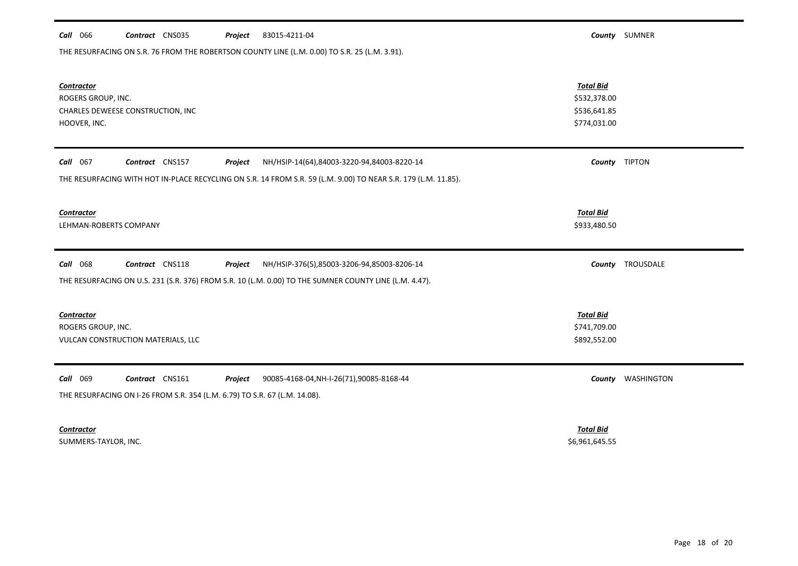#### *Call* 066 *Contract* CNS035 *Project County* SUMNER 83015-4211-04

THE RESURFACING ON S.R. 76 FROM THE ROBERTSON COUNTY LINE (L.M. 0.00) TO S.R. 25 (L.M. 3.91).

| Contractor<br>ROGERS GROUP, INC.<br>CHARLES DEWEESE CONSTRUCTION, INC<br>HOOVER, INC.                          | <b>Total Bid</b><br>\$532,378.00<br>\$536,641.85<br>\$774,031.00 |                         |
|----------------------------------------------------------------------------------------------------------------|------------------------------------------------------------------|-------------------------|
| <b>Call</b> 067<br>Contract CNS157<br>NH/HSIP-14(64),84003-3220-94,84003-8220-14<br>Project                    |                                                                  | County TIPTON           |
| THE RESURFACING WITH HOT IN-PLACE RECYCLING ON S.R. 14 FROM S.R. 59 (L.M. 9.00) TO NEAR S.R. 179 (L.M. 11.85). |                                                                  |                         |
| <b>Contractor</b><br>LEHMAN-ROBERTS COMPANY                                                                    | <b>Total Bid</b><br>\$933,480.50                                 |                         |
| Call 068<br>Contract CNS118<br>NH/HSIP-376(5),85003-3206-94,85003-8206-14<br>Project                           |                                                                  | <b>County</b> TROUSDALE |
| THE RESURFACING ON U.S. 231 (S.R. 376) FROM S.R. 10 (L.M. 0.00) TO THE SUMNER COUNTY LINE (L.M. 4.47).         |                                                                  |                         |
| <b>Contractor</b><br>ROGERS GROUP, INC.<br>VULCAN CONSTRUCTION MATERIALS, LLC                                  | <b>Total Bid</b><br>\$741,709.00<br>\$892,552.00                 |                         |
| <b>Call</b> 069<br>Contract CNS161<br>90085-4168-04, NH-I-26(71), 90085-8168-44<br>Project                     |                                                                  | County WASHINGTON       |
| THE RESURFACING ON I-26 FROM S.R. 354 (L.M. 6.79) TO S.R. 67 (L.M. 14.08).                                     |                                                                  |                         |
| <b>Contractor</b><br>SUMMERS-TAYLOR, INC.                                                                      | <b>Total Bid</b><br>\$6,961,645.55                               |                         |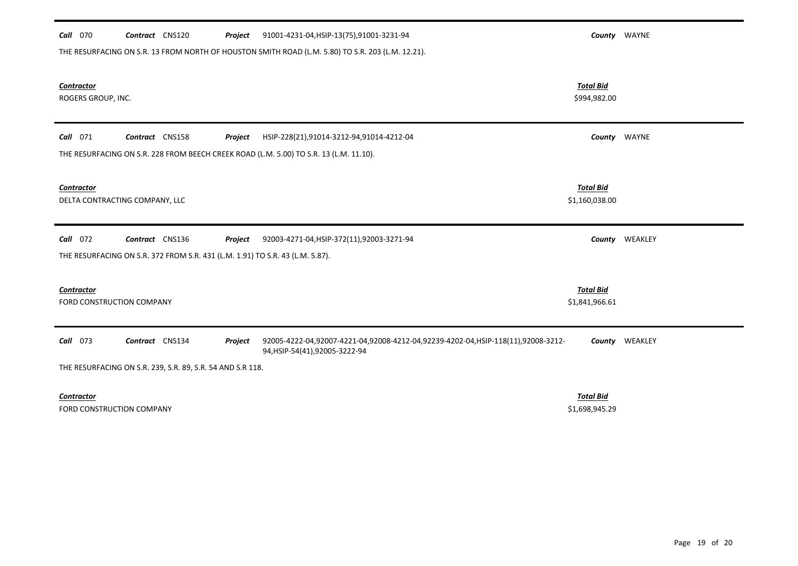| <b>Call</b> 070<br>Contract CNS120<br>Project                                                     | 91001-4231-04, HSIP-13(75), 91001-3231-94                                                                          | County                             | WAYNE          |
|---------------------------------------------------------------------------------------------------|--------------------------------------------------------------------------------------------------------------------|------------------------------------|----------------|
| THE RESURFACING ON S.R. 13 FROM NORTH OF HOUSTON SMITH ROAD (L.M. 5.80) TO S.R. 203 (L.M. 12.21). |                                                                                                                    |                                    |                |
| Contractor<br>ROGERS GROUP, INC.                                                                  |                                                                                                                    | <b>Total Bid</b><br>\$994,982.00   |                |
| <b>Call</b> 071<br>Contract CNS158<br>Project                                                     | HSIP-228(21),91014-3212-94,91014-4212-04                                                                           | County                             | WAYNE          |
| THE RESURFACING ON S.R. 228 FROM BEECH CREEK ROAD (L.M. 5.00) TO S.R. 13 (L.M. 11.10).            |                                                                                                                    |                                    |                |
| Contractor<br>DELTA CONTRACTING COMPANY, LLC                                                      |                                                                                                                    | <b>Total Bid</b><br>\$1,160,038.00 |                |
| Call 072<br>Contract CNS136<br>Project                                                            | 92003-4271-04, HSIP-372(11), 92003-3271-94                                                                         |                                    | County WEAKLEY |
| THE RESURFACING ON S.R. 372 FROM S.R. 431 (L.M. 1.91) TO S.R. 43 (L.M. 5.87).                     |                                                                                                                    |                                    |                |
| Contractor<br>FORD CONSTRUCTION COMPANY                                                           |                                                                                                                    | <b>Total Bid</b><br>\$1,841,966.61 |                |
| Call 073<br>Contract CNS134<br>Project                                                            | 92005-4222-04,92007-4221-04,92008-4212-04,92239-4202-04,HSIP-118(11),92008-3212-<br>94, HSIP-54(41), 92005-3222-94 |                                    | County WEAKLEY |
| THE RESURFACING ON S.R. 239, S.R. 89, S.R. 54 AND S.R 118.                                        |                                                                                                                    |                                    |                |
| <b>Contractor</b><br>FORD CONSTRUCTION COMPANY                                                    |                                                                                                                    | <b>Total Bid</b><br>\$1,698,945.29 |                |